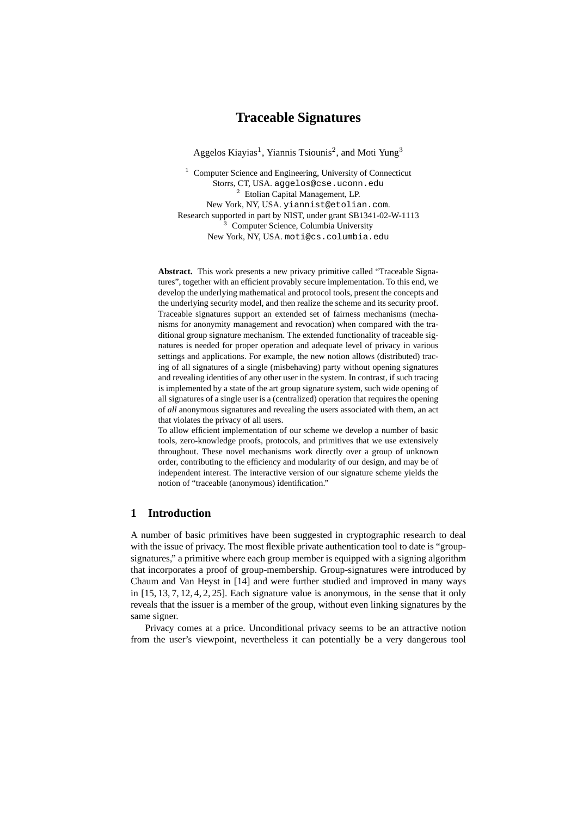# **Traceable Signatures**

Aggelos Kiayias<sup>1</sup>, Yiannis Tsiounis<sup>2</sup>, and Moti Yung<sup>3</sup>

<sup>1</sup> Computer Science and Engineering, University of Connecticut Storrs, CT, USA. aggelos@cse.uconn.edu <sup>2</sup> Etolian Capital Management, LP. New York, NY, USA. yiannist@etolian.com. Research supported in part by NIST, under grant SB1341-02-W-1113 <sup>3</sup> Computer Science, Columbia University New York, NY, USA. moti@cs.columbia.edu

**Abstract.** This work presents a new privacy primitive called "Traceable Signatures", together with an efficient provably secure implementation. To this end, we develop the underlying mathematical and protocol tools, present the concepts and the underlying security model, and then realize the scheme and its security proof. Traceable signatures support an extended set of fairness mechanisms (mechanisms for anonymity management and revocation) when compared with the traditional group signature mechanism. The extended functionality of traceable signatures is needed for proper operation and adequate level of privacy in various settings and applications. For example, the new notion allows (distributed) tracing of all signatures of a single (misbehaving) party without opening signatures and revealing identities of any other user in the system. In contrast, if such tracing is implemented by a state of the art group signature system, such wide opening of all signatures of a single user is a (centralized) operation that requires the opening of *all* anonymous signatures and revealing the users associated with them, an act that violates the privacy of all users.

To allow efficient implementation of our scheme we develop a number of basic tools, zero-knowledge proofs, protocols, and primitives that we use extensively throughout. These novel mechanisms work directly over a group of unknown order, contributing to the efficiency and modularity of our design, and may be of independent interest. The interactive version of our signature scheme yields the notion of "traceable (anonymous) identification."

# **1 Introduction**

A number of basic primitives have been suggested in cryptographic research to deal with the issue of privacy. The most flexible private authentication tool to date is "groupsignatures," a primitive where each group member is equipped with a signing algorithm that incorporates a proof of group-membership. Group-signatures were introduced by Chaum and Van Heyst in [14] and were further studied and improved in many ways in [15, 13, 7, 12, 4, 2, 25]. Each signature value is anonymous, in the sense that it only reveals that the issuer is a member of the group, without even linking signatures by the same signer.

Privacy comes at a price. Unconditional privacy seems to be an attractive notion from the user's viewpoint, nevertheless it can potentially be a very dangerous tool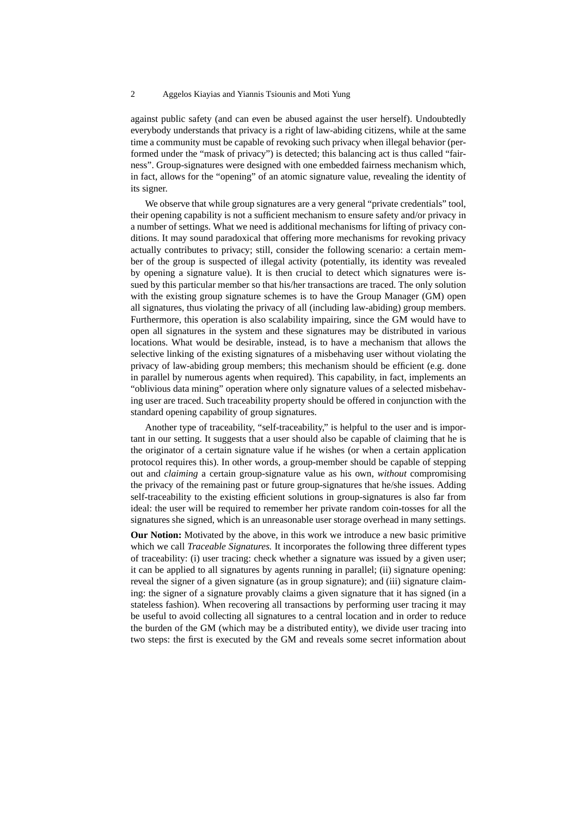against public safety (and can even be abused against the user herself). Undoubtedly everybody understands that privacy is a right of law-abiding citizens, while at the same time a community must be capable of revoking such privacy when illegal behavior (performed under the "mask of privacy") is detected; this balancing act is thus called "fairness". Group-signatures were designed with one embedded fairness mechanism which, in fact, allows for the "opening" of an atomic signature value, revealing the identity of its signer.

We observe that while group signatures are a very general "private credentials" tool, their opening capability is not a sufficient mechanism to ensure safety and/or privacy in a number of settings. What we need is additional mechanisms for lifting of privacy conditions. It may sound paradoxical that offering more mechanisms for revoking privacy actually contributes to privacy; still, consider the following scenario: a certain member of the group is suspected of illegal activity (potentially, its identity was revealed by opening a signature value). It is then crucial to detect which signatures were issued by this particular member so that his/her transactions are traced. The only solution with the existing group signature schemes is to have the Group Manager (GM) open all signatures, thus violating the privacy of all (including law-abiding) group members. Furthermore, this operation is also scalability impairing, since the GM would have to open all signatures in the system and these signatures may be distributed in various locations. What would be desirable, instead, is to have a mechanism that allows the selective linking of the existing signatures of a misbehaving user without violating the privacy of law-abiding group members; this mechanism should be efficient (e.g. done in parallel by numerous agents when required). This capability, in fact, implements an "oblivious data mining" operation where only signature values of a selected misbehaving user are traced. Such traceability property should be offered in conjunction with the standard opening capability of group signatures.

Another type of traceability, "self-traceability," is helpful to the user and is important in our setting. It suggests that a user should also be capable of claiming that he is the originator of a certain signature value if he wishes (or when a certain application protocol requires this). In other words, a group-member should be capable of stepping out and *claiming* a certain group-signature value as his own, *without* compromising the privacy of the remaining past or future group-signatures that he/she issues. Adding self-traceability to the existing efficient solutions in group-signatures is also far from ideal: the user will be required to remember her private random coin-tosses for all the signatures she signed, which is an unreasonable user storage overhead in many settings.

**Our Notion:** Motivated by the above, in this work we introduce a new basic primitive which we call *Traceable Signatures.* It incorporates the following three different types of traceability: (i) user tracing: check whether a signature was issued by a given user; it can be applied to all signatures by agents running in parallel; (ii) signature opening: reveal the signer of a given signature (as in group signature); and (iii) signature claiming: the signer of a signature provably claims a given signature that it has signed (in a stateless fashion). When recovering all transactions by performing user tracing it may be useful to avoid collecting all signatures to a central location and in order to reduce the burden of the GM (which may be a distributed entity), we divide user tracing into two steps: the first is executed by the GM and reveals some secret information about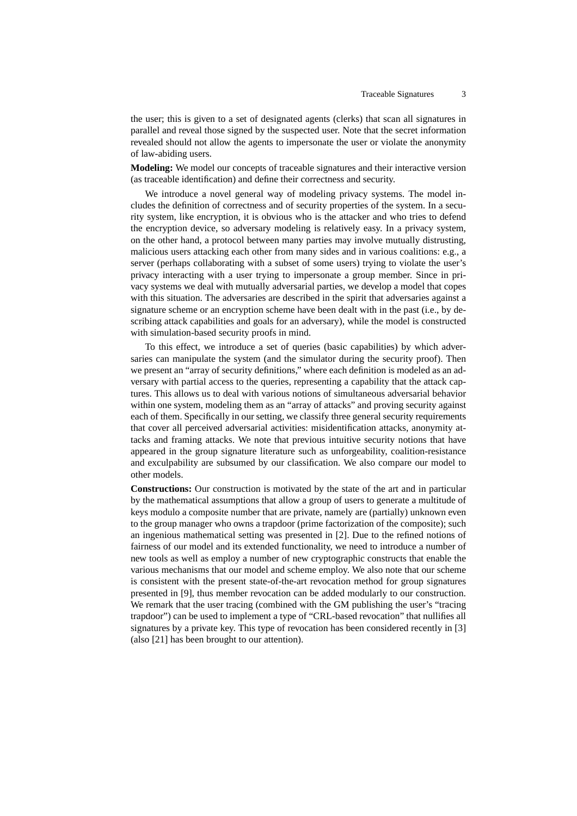the user; this is given to a set of designated agents (clerks) that scan all signatures in parallel and reveal those signed by the suspected user. Note that the secret information revealed should not allow the agents to impersonate the user or violate the anonymity of law-abiding users.

**Modeling:** We model our concepts of traceable signatures and their interactive version (as traceable identification) and define their correctness and security.

We introduce a novel general way of modeling privacy systems. The model includes the definition of correctness and of security properties of the system. In a security system, like encryption, it is obvious who is the attacker and who tries to defend the encryption device, so adversary modeling is relatively easy. In a privacy system, on the other hand, a protocol between many parties may involve mutually distrusting, malicious users attacking each other from many sides and in various coalitions: e.g., a server (perhaps collaborating with a subset of some users) trying to violate the user's privacy interacting with a user trying to impersonate a group member. Since in privacy systems we deal with mutually adversarial parties, we develop a model that copes with this situation. The adversaries are described in the spirit that adversaries against a signature scheme or an encryption scheme have been dealt with in the past (i.e., by describing attack capabilities and goals for an adversary), while the model is constructed with simulation-based security proofs in mind.

To this effect, we introduce a set of queries (basic capabilities) by which adversaries can manipulate the system (and the simulator during the security proof). Then we present an "array of security definitions," where each definition is modeled as an adversary with partial access to the queries, representing a capability that the attack captures. This allows us to deal with various notions of simultaneous adversarial behavior within one system, modeling them as an "array of attacks" and proving security against each of them. Specifically in our setting, we classify three general security requirements that cover all perceived adversarial activities: misidentification attacks, anonymity attacks and framing attacks. We note that previous intuitive security notions that have appeared in the group signature literature such as unforgeability, coalition-resistance and exculpability are subsumed by our classification. We also compare our model to other models.

**Constructions:** Our construction is motivated by the state of the art and in particular by the mathematical assumptions that allow a group of users to generate a multitude of keys modulo a composite number that are private, namely are (partially) unknown even to the group manager who owns a trapdoor (prime factorization of the composite); such an ingenious mathematical setting was presented in [2]. Due to the refined notions of fairness of our model and its extended functionality, we need to introduce a number of new tools as well as employ a number of new cryptographic constructs that enable the various mechanisms that our model and scheme employ. We also note that our scheme is consistent with the present state-of-the-art revocation method for group signatures presented in [9], thus member revocation can be added modularly to our construction. We remark that the user tracing (combined with the GM publishing the user's "tracing trapdoor") can be used to implement a type of "CRL-based revocation" that nullifies all signatures by a private key. This type of revocation has been considered recently in [3] (also [21] has been brought to our attention).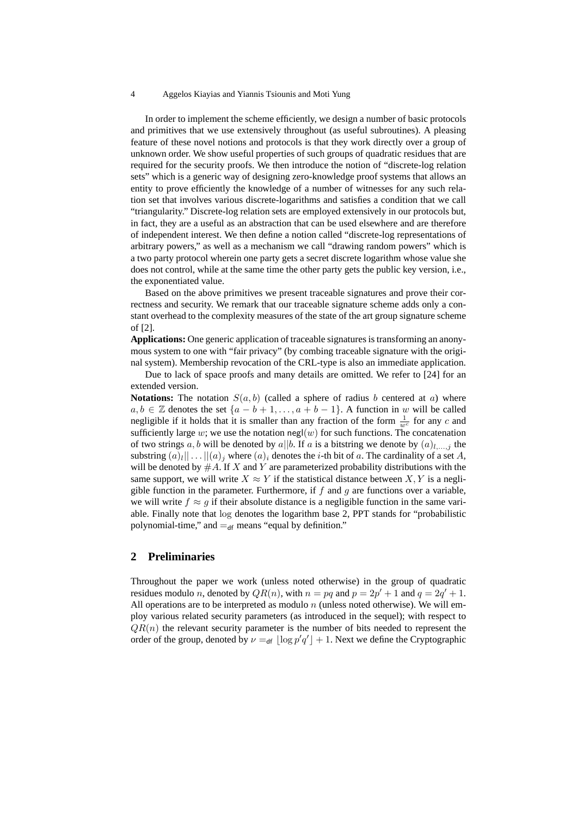In order to implement the scheme efficiently, we design a number of basic protocols and primitives that we use extensively throughout (as useful subroutines). A pleasing feature of these novel notions and protocols is that they work directly over a group of unknown order. We show useful properties of such groups of quadratic residues that are required for the security proofs. We then introduce the notion of "discrete-log relation sets" which is a generic way of designing zero-knowledge proof systems that allows an entity to prove efficiently the knowledge of a number of witnesses for any such relation set that involves various discrete-logarithms and satisfies a condition that we call "triangularity." Discrete-log relation sets are employed extensively in our protocols but, in fact, they are a useful as an abstraction that can be used elsewhere and are therefore of independent interest. We then define a notion called "discrete-log representations of arbitrary powers," as well as a mechanism we call "drawing random powers" which is a two party protocol wherein one party gets a secret discrete logarithm whose value she does not control, while at the same time the other party gets the public key version, i.e., the exponentiated value.

Based on the above primitives we present traceable signatures and prove their correctness and security. We remark that our traceable signature scheme adds only a constant overhead to the complexity measures of the state of the art group signature scheme of [2].

**Applications:** One generic application of traceable signatures is transforming an anonymous system to one with "fair privacy" (by combing traceable signature with the original system). Membership revocation of the CRL-type is also an immediate application.

Due to lack of space proofs and many details are omitted. We refer to [24] for an extended version.

**Notations:** The notation  $S(a, b)$  (called a sphere of radius b centered at a) where  $a, b \in \mathbb{Z}$  denotes the set {a − b + 1, ..., a + b − 1}. A function in w will be called negligible if it holds that it is smaller than any fraction of the form  $\frac{1}{w^c}$  for any c and sufficiently large w; we use the notation negl(w) for such functions. The concatenation of two strings a, b will be denoted by a||b. If a is a bitstring we denote by  $(a)_{l,\dots,j}$  the substring  $(a)_l || \dots ||(a)_j$  where  $(a)_i$  denotes the *i*-th bit of a. The cardinality of a set A, will be denoted by  $#A$ . If X and Y are parameterized probability distributions with the same support, we will write  $X \approx Y$  if the statistical distance between  $X, Y$  is a negligible function in the parameter. Furthermore, if  $f$  and  $g$  are functions over a variable, we will write  $f \approx g$  if their absolute distance is a negligible function in the same variable. Finally note that log denotes the logarithm base 2, PPT stands for "probabilistic polynomial-time," and  $=_{df}$  means "equal by definition."

# **2 Preliminaries**

Throughout the paper we work (unless noted otherwise) in the group of quadratic residues modulo *n*, denoted by  $QR(n)$ , with  $n = pq$  and  $p = 2p' + 1$  and  $q = 2q' + 1$ . All operations are to be interpreted as modulo  $n$  (unless noted otherwise). We will employ various related security parameters (as introduced in the sequel); with respect to  $QR(n)$  the relevant security parameter is the number of bits needed to represent the order of the group, denoted by  $\nu =_{df} \lfloor \log p'q' \rfloor + 1$ . Next we define the Cryptographic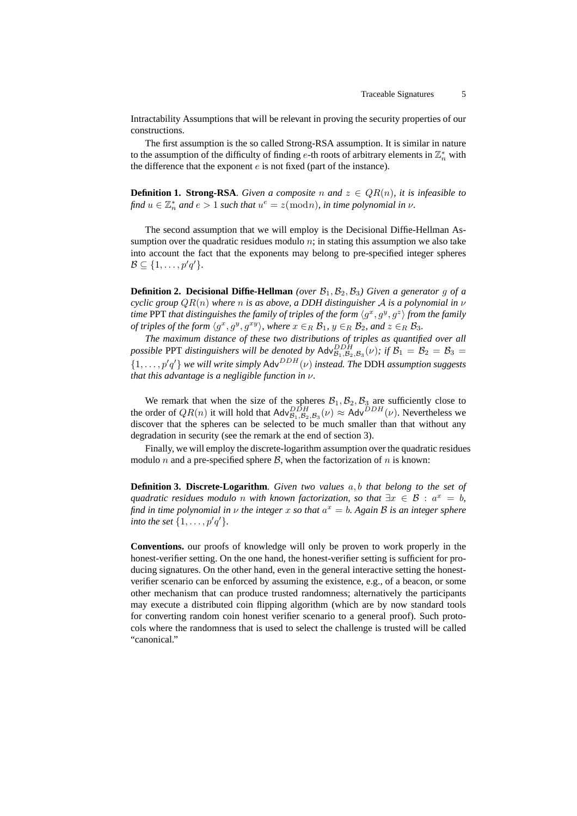Intractability Assumptions that will be relevant in proving the security properties of our constructions.

The first assumption is the so called Strong-RSA assumption. It is similar in nature to the assumption of the difficulty of finding  $e$ -th roots of arbitrary elements in  $\mathbb{Z}_n^*$  with the difference that the exponent  $e$  is not fixed (part of the instance).

**Definition 1. Strong-RSA***. Given a composite* n and  $z \in QR(n)$ *, it is infeasible to find*  $u \in \mathbb{Z}_n^*$  *and*  $e > 1$  *such that*  $u^e = z \pmod{n}$ *, in time polynomial in*  $\nu$ *.* 

The second assumption that we will employ is the Decisional Diffie-Hellman Assumption over the quadratic residues modulo  $n$ ; in stating this assumption we also take into account the fact that the exponents may belong to pre-specified integer spheres  $\mathcal{B} \subseteq \{1,\ldots,p'q'\}.$ 

**Definition 2. Decisional Diffie-Hellman** *(over*  $\mathcal{B}_1$ ,  $\mathcal{B}_2$ ,  $\mathcal{B}_3$ ) *Given a generator* g of a *cyclic group* QR(n) *where* n *is as above, a DDH distinguisher* A *is a polynomial in* ν time PPT that distinguishes the family of triples of the form  $\langle g^x, g^y, g^z \rangle$  from the family *of triples of the form*  $\langle g^x, g^y, g^{xy} \rangle$ , where  $x \in_R \mathcal{B}_1$ ,  $y \in_R \mathcal{B}_2$ , and  $z \in_R \mathcal{B}_3$ .

*The maximum distance of these two distributions of triples as quantified over all possible* PPT *distinguishers will be denoted by*  $Adv_{\mathcal{B}_1,\mathcal{B}_2,\mathcal{B}_3}^{DTH}(\nu)$ ; if  $\mathcal{B}_1 = \mathcal{B}_2 = \mathcal{B}_3 =$  $\{1,\ldots,p'q'\}$  we will write simply  $\mathsf{Adv}^{DDH}(\nu)$  instead. The DDH assumption suggests *that this advantage is a negligible function in* ν*.*

We remark that when the size of the spheres  $B_1, B_2, B_3$  are sufficiently close to the order of  $QR(n)$  it will hold that  $Adv_{B_1,B_2,B_3}^{DDH}(\nu) \approx Adv^{DDH}(\nu)$ . Nevertheless we discover that the spheres can be selected to be much smaller than that without any degradation in security (see the remark at the end of section 3).

Finally, we will employ the discrete-logarithm assumption over the quadratic residues modulo *n* and a pre-specified sphere  $B$ , when the factorization of *n* is known:

**Definition 3. Discrete-Logarithm***. Given two values* a, b *that belong to the set of quadratic residues modulo n with known factorization, so that*  $\exists x \in \mathcal{B} : a^x = b$ , *find in time polynomial in* ν *the integer* x *so that* a <sup>x</sup> = b*. Again* B *is an integer sphere into the set*  $\{1, \ldots, p'q'\}.$ 

**Conventions.** our proofs of knowledge will only be proven to work properly in the honest-verifier setting. On the one hand, the honest-verifier setting is sufficient for producing signatures. On the other hand, even in the general interactive setting the honestverifier scenario can be enforced by assuming the existence, e.g., of a beacon, or some other mechanism that can produce trusted randomness; alternatively the participants may execute a distributed coin flipping algorithm (which are by now standard tools for converting random coin honest verifier scenario to a general proof). Such protocols where the randomness that is used to select the challenge is trusted will be called "canonical."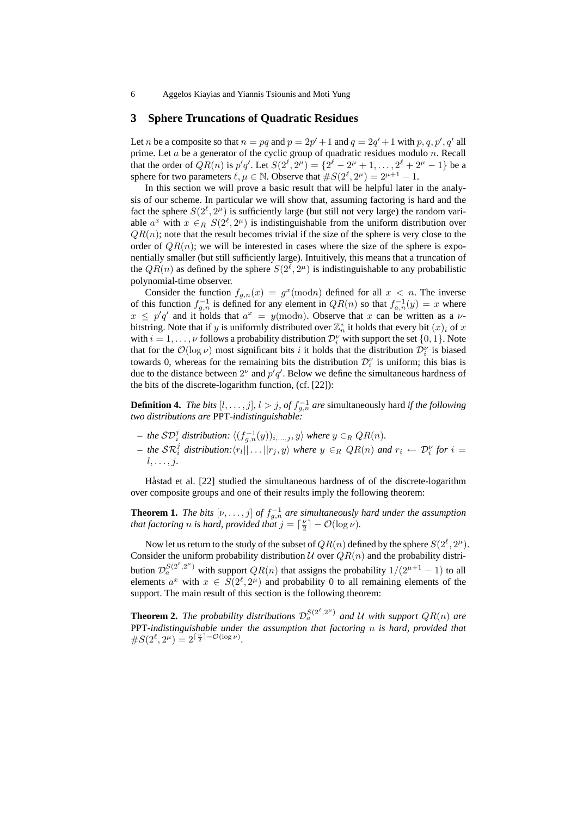### **3 Sphere Truncations of Quadratic Residues**

Let *n* be a composite so that  $n = pq$  and  $p = 2p' + 1$  and  $q = 2q' + 1$  with  $p, q, p', q'$  all prime. Let  $a$  be a generator of the cyclic group of quadratic residues modulo  $n$ . Recall that the order of  $QR(n)$  is  $p'q'$ . Let  $S(2^{\ell}, 2^{\mu}) = \{2^{\ell} - 2^{\mu} + 1, \ldots, 2^{\ell} + 2^{\mu} - 1\}$  be a sphere for two parameters  $\ell, \mu \in \mathbb{N}$ . Observe that  $\#S(2^{\ell}, 2^{\mu}) = 2^{\mu+1} - 1$ .

In this section we will prove a basic result that will be helpful later in the analysis of our scheme. In particular we will show that, assuming factoring is hard and the fact the sphere  $S(2^{\ell}, 2^{\mu})$  is sufficiently large (but still not very large) the random variable  $a^x$  with  $x \in_R S(2^{\ell}, 2^{\mu})$  is indistinguishable from the uniform distribution over  $QR(n)$ ; note that the result becomes trivial if the size of the sphere is very close to the order of  $QR(n)$ ; we will be interested in cases where the size of the sphere is exponentially smaller (but still sufficiently large). Intuitively, this means that a truncation of the  $QR(n)$  as defined by the sphere  $S(2^{\ell}, 2^{\mu})$  is indistinguishable to any probabilistic polynomial-time observer.

Consider the function  $f_{g,n}(x) = g^x \pmod{n}$  defined for all  $x < n$ . The inverse of this function  $f_{g,n}^{-1}$  is defined for any element in  $QR(n)$  so that  $f_{a,n}^{-1}(y) = x$  where  $x \leq p'q'$  and it holds that  $a^x = y \pmod{n}$ . Observe that x can be written as a vbitstring. Note that if y is uniformly distributed over  $\mathbb{Z}_n^*$  it holds that every bit  $(x)_i$  of x with  $i = 1, \ldots, \nu$  follows a probability distribution  $\mathcal{D}_i^{\nu}$  with support the set  $\{0, 1\}$ . Note that for the  $\mathcal{O}(\log \nu)$  most significant bits *i* it holds that the distribution  $\mathcal{D}_i^{\nu}$  is biased towards 0, whereas for the remaining bits the distribution  $\mathcal{D}_i^{\nu}$  is uniform; this bias is due to the distance between  $2^{\nu}$  and  $p'q'$ . Below we define the simultaneous hardness of the bits of the discrete-logarithm function, (cf. [22]):

**Definition 4.** *The bits*  $[l, \ldots, j]$ ,  $l > j$ , of  $f_{g,n}^{-1}$  are simultaneously hard *if the following two distributions are* PPT*-indistinguishable:*

- *− the*  $\mathcal{SD}_i^j$  *distribution:*  $\langle (f_{g,n}^{-1}(y))_{i,...,j}, y \rangle$  *where*  $y \in_R QR(n)$ *.*
- *− the*  $\mathcal{SR}_i^j$  *distribution:* $\langle r_l || \dots || r_j, y \rangle$  *where*  $y \in_R QR(n)$  *and*  $r_i \leftarrow \mathcal{D}_i^{\nu}$  *for*  $i =$ l, . . . , j*.*

Håstad et al. [22] studied the simultaneous hardness of of the discrete-logarithm over composite groups and one of their results imply the following theorem:

**Theorem 1.** The bits  $[\nu, \ldots, j]$  of  $f_{g,n}^{-1}$  are simultaneously hard under the assumption *that factoring n is hard, provided that*  $j = \lceil \frac{\nu}{2} \rceil - \mathcal{O}(\log \nu)$ *.* 

Now let us return to the study of the subset of  $QR(n)$  defined by the sphere  $S(2^{\ell}, 2^{\mu})$ . Consider the uniform probability distribution  $U$  over  $QR(n)$  and the probability distribution  $\mathcal{D}_{a}^{S(2^{\ell},2^{\mu})}$  with support  $QR(n)$  that assigns the probability  $1/(2^{\mu+1}-1)$  to all elements  $a^x$  with  $x \in S(2^{\ell}, 2^{\mu})$  and probability 0 to all remaining elements of the support. The main result of this section is the following theorem:

**Theorem 2.** The probability distributions  $\mathcal{D}_{a}^{S(2^{\ell}, 2^{\mu})}$  and U with support  $QR(n)$  are PPT*-indistinguishable under the assumption that factoring* n *is hard, provided that*  $\#S(2^{\ell}, 2^{\mu}) = 2^{\lceil \frac{\nu}{2} \rceil - \mathcal{O}(\log \nu)}.$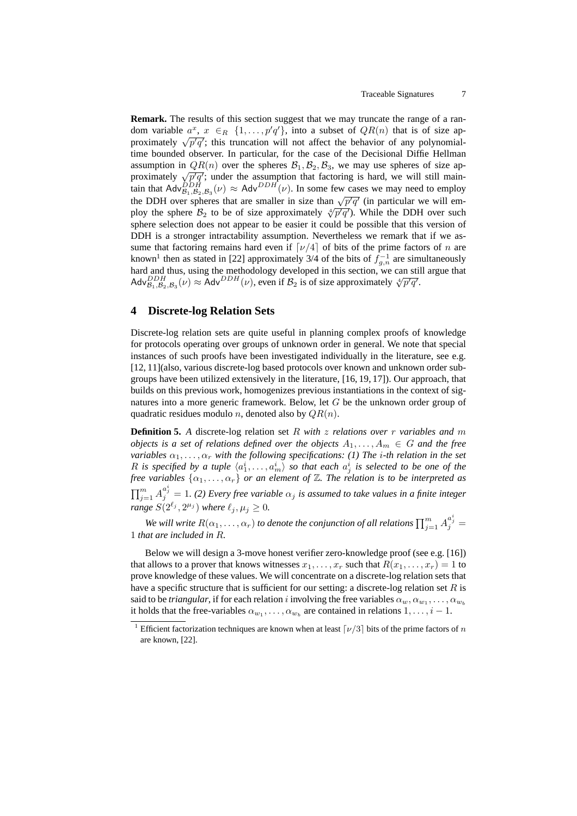**Remark.** The results of this section suggest that we may truncate the range of a random variable  $a^x$ ,  $x \in_R \{1, ..., p'q'\}$ , into a subset of  $QR(n)$  that is of size ap $p$  dom variable  $a^-, x \in_R \{1, \ldots, p \mid q\}$ , into a subset of  $QR(n)$  that is of size approximately  $\sqrt{p'q'}$ ; this truncation will not affect the behavior of any polynomialtime bounded observer. In particular, for the case of the Decisional Diffie Hellman assumption in  $QR(n)$  over the spheres  $B_1, B_2, B_3$ , we may use spheres of size apassumption in  $Qn(n)$  over the spheres  $D_1, D_2, D_3$ , we may use spheres of size approximately  $\sqrt{p'q'}$ ; under the assumption that factoring is hard, we will still maintain that  $\text{Adv}_{\mathcal{B}_1,\mathcal{B}_2,\mathcal{B}_3}^{DBH}(\nu) \approx \text{Adv}^{DDH}(\nu)$ . In some few cases we may need to employ the DDH over spheres that are smaller in size than  $\sqrt{p'q'}$  (in particular we will emthe DDH over spheres that are smaller in size than  $\sqrt{p'q'}$  (in particular we will em-<br>ploy the sphere  $B_2$  to be of size approximately  $\sqrt[4]{p'q'}$ ). While the DDH over such sphere selection does not appear to be easier it could be possible that this version of DDH is a stronger intractability assumption. Nevertheless we remark that if we assume that factoring remains hard even if  $\lceil \nu/4 \rceil$  of bits of the prime factors of n are known<sup>1</sup> then as stated in [22] approximately 3/4 of the bits of  $f_{g,n}^{-1}$  are simultaneously hard and thus, using the methodology developed in this section, we can still argue that hard and thus, using the methodology developed in this section, we can strict<br>Adv $B_{1, B_{2}, B_{3}}(\nu) \approx$  Adv $^{DDH}(\nu)$ , even if  $B_{2}$  is of size approximately  $\sqrt[4]{p'q'}$ .

### **4 Discrete-log Relation Sets**

Discrete-log relation sets are quite useful in planning complex proofs of knowledge for protocols operating over groups of unknown order in general. We note that special instances of such proofs have been investigated individually in the literature, see e.g. [12, 11](also, various discrete-log based protocols over known and unknown order subgroups have been utilized extensively in the literature, [16, 19, 17]). Our approach, that builds on this previous work, homogenizes previous instantiations in the context of signatures into a more generic framework. Below, let  $G$  be the unknown order group of quadratic residues modulo *n*, denoted also by  $QR(n)$ .

**Definition 5.** *A* discrete-log relation set R *with* z *relations over* r *variables and* m *objects is a set of relations defined over the objects*  $A_1, \ldots, A_m \in G$  *and the free variables*  $\alpha_1, \ldots, \alpha_r$  *with the following specifications: (1) The i-th relation in the set*  $R$  is specified by a tuple  $\langle a_1^i, \ldots, a_m^i \rangle$  so that each  $a_j^i$  is selected to be one of the *free variables*  $\{\alpha_1, \ldots, \alpha_r\}$  *or an element of*  $\mathbb Z$ *. The relation is to be interpreted as*  $\prod_{j=1}^m A_j^{a_j^i} = 1$ . (2) Every free variable  $\alpha_j$  is assumed to take values in a finite integer

*range*  $S(2^{\ell_j}, 2^{\mu_j})$  *where*  $\ell_j, \mu_j \geq 0$ *.* 

*We will write*  $R(\alpha_1, \ldots, \alpha_r)$  to denote the conjunction of all relations  $\prod_{j=1}^m A_j^{a_j^i} =$ 1 *that are included in* R*.*

Below we will design a 3-move honest verifier zero-knowledge proof (see e.g. [16]) that allows to a prover that knows witnesses  $x_1, \ldots, x_r$  such that  $R(x_1, \ldots, x_r) = 1$  to prove knowledge of these values. We will concentrate on a discrete-log relation sets that have a specific structure that is sufficient for our setting: a discrete-log relation set  $R$  is said to be *triangular*, if for each relation i involving the free variables  $\alpha_w, \alpha_{w_1}, \dots, \alpha_{w_b}$ it holds that the free-variables  $\alpha_{w_1}, \dots, \alpha_{w_b}$  are contained in relations  $1, \dots, i-1$ .

<sup>&</sup>lt;sup>1</sup> Efficient factorization techniques are known when at least  $\lceil \nu/3 \rceil$  bits of the prime factors of n are known, [22].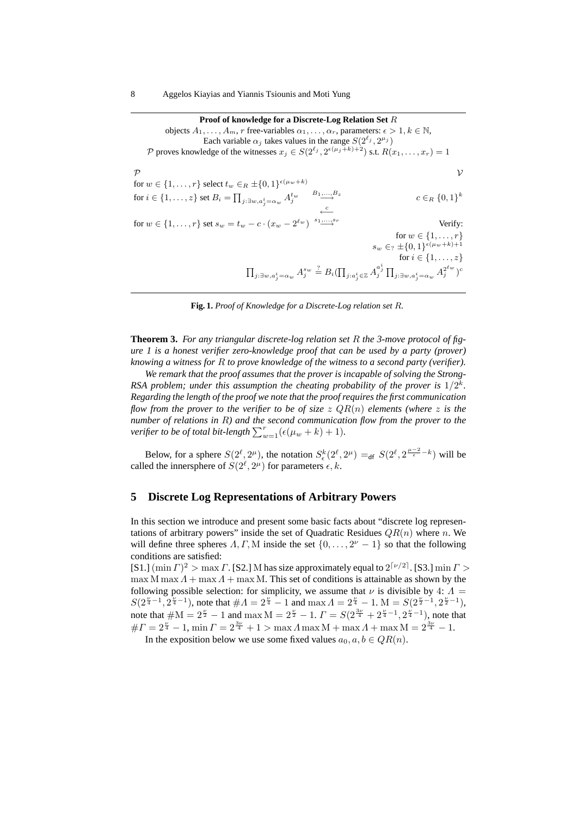**Proof of knowledge for a Discrete-Log Relation Set** R objects  $A_1, \ldots, A_m$ , r free-variables  $\alpha_1, \ldots, \alpha_r$ , parameters:  $\epsilon > 1, k \in \mathbb{N}$ , Each variable  $\alpha_j$  takes values in the range  $S(2^{\ell_j}, 2^{\mu_j})$ P proves knowledge of the witnesses  $x_j \in S(2^{\ell_j}, 2^{\epsilon(\mu_j + k) + 2})$  s.t.  $R(x_1, \ldots, x_r) = 1$  $\mathcal P$  is a vector of  $\mathcal P$ for  $w \in \{1, \ldots, r\}$  select  $t_w \in_R \pm \{0, 1\}^{\epsilon(\mu_w + k)}$ for  $i \in \{1, \ldots, z\}$  set  $B_i = \prod$ j:∃w,a $_i^i = \alpha_w A_j^{t_w}$  $B_1,...,B_z$   $c \in_R \{0,1\}^k$  $\stackrel{c}{\longleftarrow}$ for  $w \in \{1, ..., r\}$  set  $s_w = t_w - c \cdot (x_w - 2^{\ell_w})$  $s_1,...,s_r$   $\longrightarrow$   $Verify:$ for  $w \in \{1, \ldots, r\}$  $s_w \in \mathbb{R}^2 \pm \{0,1\}^{\epsilon(\mu_w + k) + 1}$ for  $i \in \{1, \ldots, z\}$  $\overline{a}$  $j:\exists w, a_j^i=\alpha_w\,\stackrel{A^s w}{\rightarrow} \stackrel{?}{=}B_i(\prod)$  $_{j:a_j^i\in\mathbb{Z}}A_j^{a_j^i}$  $\overline{a}$ j:∃w,a $_i^i = \alpha_w A_j^{2^{\ell_w}}$ )<sup>c</sup>

**Fig. 1.** *Proof of Knowledge for a Discrete-Log relation set* R*.*

**Theorem 3.** *For any triangular discrete-log relation set* R *the 3-move protocol of figure 1 is a honest verifier zero-knowledge proof that can be used by a party (prover) knowing a witness for* R *to prove knowledge of the witness to a second party (verifier).*

*We remark that the proof assumes that the prover is incapable of solving the Strong-*RSA problem; under this assumption the cheating probability of the prover is  $1/2^k$ . *Regarding the length of the proof we note that the proof requires the first communication flow from the prover to the verifier to be of size*  $z \, QR(n)$  *elements (where*  $z$  *is the number of relations in* R*) and the second communication flow from the prover to the number of relations in K) and the second communication-<br>verifier to be of total bit-length*  $\sum_{w=1}^{r} (\epsilon(\mu_w + k) + 1)$ .

Below, for a sphere  $S(2^{\ell}, 2^{\mu})$ , the notation  $S_{\epsilon}^{k}(2^{\ell}, 2^{\mu}) =_{df} S(2^{\ell}, 2^{\frac{\mu-2}{\epsilon}-k})$  will be called the innersphere of  $S(2^{\ell}, 2^{\mu})$  for parameters  $\epsilon, k$ .

### **5 Discrete Log Representations of Arbitrary Powers**

In this section we introduce and present some basic facts about "discrete log representations of arbitrary powers" inside the set of Quadratic Residues  $QR(n)$  where n. We will define three spheres  $\Lambda, \Gamma, \mathcal{M}$  inside the set  $\{0, \ldots, 2^{\nu} - 1\}$  so that the following conditions are satisfied:

[S1.]  $(\min \Gamma)^2 > \max \Gamma$ . [S2.] M has size approximately equal to  $2^{\lceil \nu/2 \rceil}$ . [S3.]  $\min \Gamma >$  $\max M \max A + \max A + \max M$ . This set of conditions is attainable as shown by the following possible selection: for simplicity, we assume that  $\nu$  is divisible by 4:  $\Lambda$  =  $S(2^{\frac{\nu}{4}-1}, 2^{\frac{\nu}{4}-1})$ , note that  $\#A = 2^{\frac{\nu}{4}} - 1$  and  $\max A = 2^{\frac{\nu}{4}} - 1$ .  $M = S(2^{\frac{\nu}{2}-1}, 2^{\frac{\nu}{2}-1})$ , note that  $\#M = 2^{\frac{\nu}{2}} - 1$  and  $\max M = 2^{\frac{\nu}{2}} - 1$ .  $\Gamma = S(2^{\frac{3\nu}{4}} + 2^{\frac{\nu}{4} - 1}, 2^{\frac{\nu}{4} - 1})$ , note that  $\# \Gamma = 2^{\frac{\nu}{4}} - 1$ ,  $\min \Gamma = 2^{\frac{3\nu}{4}} + 1 > \max A \max M + \max A + \max M = 2^{\frac{3\nu}{4}} - 1$ .

In the exposition below we use some fixed values  $a_0, a, b \in QR(n)$ .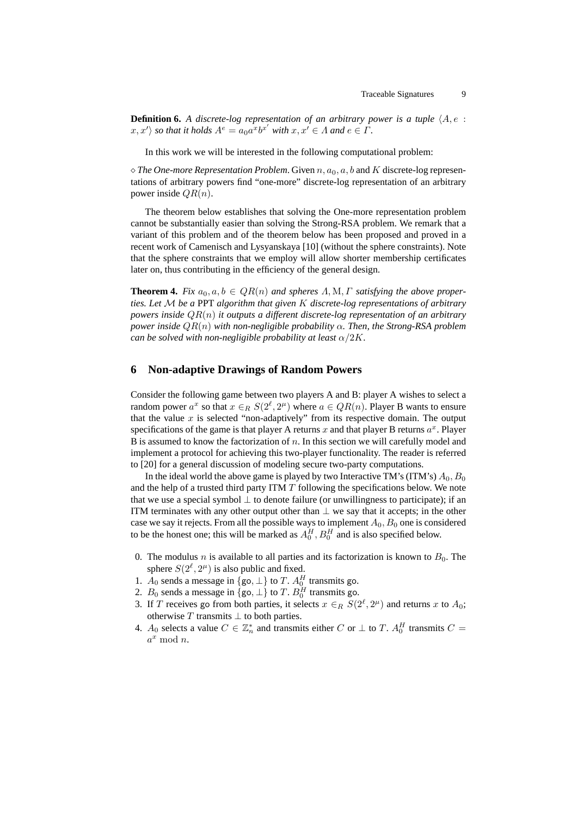**Definition 6.** A discrete-log representation of an arbitrary power is a tuple  $\langle A, e \rangle$ :  $\langle x, x' \rangle$  so that it holds  $A^e = a_0 a^x b^{x'}$  with  $x, x' \in A$  and  $e \in \Gamma$ .

In this work we will be interested in the following computational problem:

 $\Diamond$  *The One-more Representation Problem.* Given  $n, a_0, a, b$  and K discrete-log representations of arbitrary powers find "one-more" discrete-log representation of an arbitrary power inside  $QR(n)$ .

The theorem below establishes that solving the One-more representation problem cannot be substantially easier than solving the Strong-RSA problem. We remark that a variant of this problem and of the theorem below has been proposed and proved in a recent work of Camenisch and Lysyanskaya [10] (without the sphere constraints). Note that the sphere constraints that we employ will allow shorter membership certificates later on, thus contributing in the efficiency of the general design.

**Theorem 4.** *Fix*  $a_0, a, b \in QR(n)$  *and spheres*  $\Lambda, M, \Gamma$  *satisfying the above properties. Let* M *be a* PPT *algorithm that given* K *discrete-log representations of arbitrary powers inside* QR(n) *it outputs a different discrete-log representation of an arbitrary power inside* QR(n) *with non-negligible probability* α*. Then, the Strong-RSA problem can be solved with non-negligible probability at least*  $\alpha/2K$ *.* 

# **6 Non-adaptive Drawings of Random Powers**

Consider the following game between two players A and B: player A wishes to select a random power  $a^x$  so that  $x \in_R S(2^{\ell}, 2^{\mu})$  where  $a \in QR(n)$ . Player B wants to ensure that the value  $x$  is selected "non-adaptively" from its respective domain. The output specifications of the game is that player A returns x and that player B returns  $a^x$ . Player B is assumed to know the factorization of  $n$ . In this section we will carefully model and implement a protocol for achieving this two-player functionality. The reader is referred to [20] for a general discussion of modeling secure two-party computations.

In the ideal world the above game is played by two Interactive TM's (ITM's)  $A_0$ ,  $B_0$ and the help of a trusted third party ITM  $T$  following the specifications below. We note that we use a special symbol  $\perp$  to denote failure (or unwillingness to participate); if an ITM terminates with any other output other than  $\perp$  we say that it accepts; in the other case we say it rejects. From all the possible ways to implement  $A_0$ ,  $B_0$  one is considered to be the honest one; this will be marked as  $A_0^H$ ,  $B_0^H$  and is also specified below.

- 0. The modulus *n* is available to all parties and its factorization is known to  $B_0$ . The sphere  $S(2^{\ell}, 2^{\mu})$  is also public and fixed.
- 1.  $A_0$  sends a message in {go,  $\perp$ } to T.  $A_0^H$  transmits go.
- 2.  $B_0$  sends a message in {go,  $\perp$ } to T.  $B_0^H$  transmits go.
- 3. If T receives go from both parties, it selects  $x \in_R S(2^{\ell}, 2^{\mu})$  and returns x to  $A_0$ ; otherwise T transmits  $\perp$  to both parties.
- 4.  $A_0$  selects a value  $C \in \mathbb{Z}_n^*$  and transmits either C or  $\perp$  to T.  $A_0^H$  transmits  $C =$  $a^x \bmod n$ .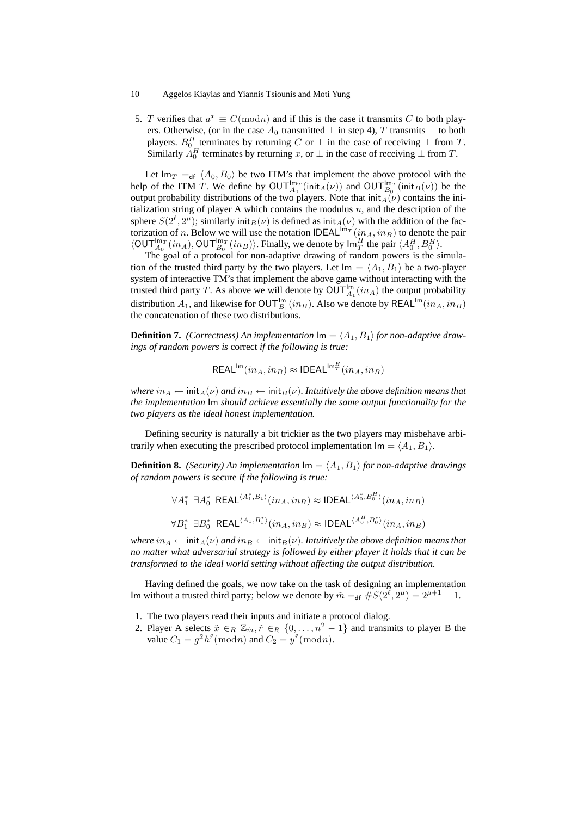5. T verifies that  $a^x \equiv C(\text{mod}n)$  and if this is the case it transmits C to both players. Otherwise, (or in the case  $A_0$  transmitted  $\perp$  in step 4), T transmits  $\perp$  to both players.  $B_0^H$  terminates by returning C or  $\perp$  in the case of receiving  $\perp$  from T. Similarly  $A_0^H$  terminates by returning x, or  $\perp$  in the case of receiving  $\perp$  from T.

Let  $\text{Im}_T =_{df} \langle A_0, B_0 \rangle$  be two ITM's that implement the above protocol with the help of the ITM T. We define by  $\text{OUT}_{A_0}^{\text{Im}_T}(\text{init}_A(\nu))$  and  $\text{OUT}_{B_0}^{\text{Im}_T}(\text{init}_B(\nu))$  be the output probability distributions of the two players. Note that  $\text{init}_A(\nu)$  contains the initialization string of player A which contains the modulus  $n$ , and the description of the sphere  $S(2^{\ell}, 2^{\mu})$ ; similarly init $_B(\nu)$  is defined as init $_A(\nu)$  with the addition of the factorization of n. Below we will use the notation IDEAL  $\lim_{T} (in_A, in_B)$  to denote the pair  $\langle \text{OUT}^{\text{Im}_{T}}_{A_0}(in_A), \text{OUT}^{\text{Im}_{T}}_{B_0}(in_B) \rangle$ . Finally, we denote by  $\text{Im}_{T}^{H}$  the pair  $\langle A_0^H, B_0^H \rangle$ .

The goal of a protocol for non-adaptive drawing of random powers is the simulation of the trusted third party by the two players. Let  $\mathsf{Im} = \langle A_1, B_1 \rangle$  be a two-player system of interactive TM's that implement the above game without interacting with the trusted third party T. As above we will denote by  $\text{OUT}_{A_1}^{\text{Im}}(in_A)$  the output probability distribution  $A_1$ , and likewise for  $\text{OUT}_{B_1}^{\text{Im}}(in_B)$ . Also we denote by REAL<sup>Im</sup> $(in_A, in_B)$ the concatenation of these two distributions.

**Definition 7.** *(Correctness)* An implementation  $\text{Im} = \langle A_1, B_1 \rangle$  *for non-adaptive drawings of random powers is* correct *if the following is true:*

$$
\mathsf{REAL}^{\mathsf{Im}}(in_A,in_B)\approx \mathsf{IDEAL}^{\mathsf{Im}^H_T}(in_A,in_B)
$$

*where*  $in_A \leftarrow \text{init}_A(\nu)$  *and*  $in_B \leftarrow \text{init}_B(\nu)$ *. Intuitively the above definition means that the implementation* Im *should achieve essentially the same output functionality for the two players as the ideal honest implementation.*

Defining security is naturally a bit trickier as the two players may misbehave arbitrarily when executing the prescribed protocol implementation  $\mathsf{Im} = \langle A_1, B_1 \rangle$ .

**Definition 8.** *(Security) An implementation*  $\text{Im} = \langle A_1, B_1 \rangle$  *for non-adaptive drawings of random powers is* secure *if the following is true:*

$$
\forall A_1^* \exists A_0^* \text{ REAL}^{\langle A_1^*, B_1 \rangle}(in_A, in_B) \approx \text{IDEAL}^{\langle A_0^*, B_0^H \rangle}(in_A, in_B)
$$
  

$$
\forall B_1^* \exists B_0^* \text{ REAL}^{\langle A_1, B_1^* \rangle}(in_A, in_B) \approx \text{IDEAL}^{\langle A_0^H, B_0^* \rangle}(in_A, in_B)
$$

*where*  $in_A \leftarrow \text{init}_A(\nu)$  *and*  $in_B \leftarrow \text{init}_B(\nu)$ *. Intuitively the above definition means that no matter what adversarial strategy is followed by either player it holds that it can be transformed to the ideal world setting without affecting the output distribution.*

Having defined the goals, we now take on the task of designing an implementation Im without a trusted third party; below we denote by  $\tilde{m} =_{df} \# S(2^{\ell}, 2^{\mu}) = 2^{\mu+1} - 1$ .

- 1. The two players read their inputs and initiate a protocol dialog.
- 2. Player A selects  $\tilde{x} \in_R \mathbb{Z}_{m}, \tilde{r} \in_R \{0, \ldots, n^2 1\}$  and transmits to player B the value  $C_1 = g^{\tilde{x}} h^{\tilde{r}}(\bmod n)$  and  $C_2 = y^{\tilde{r}}(\bmod n)$ .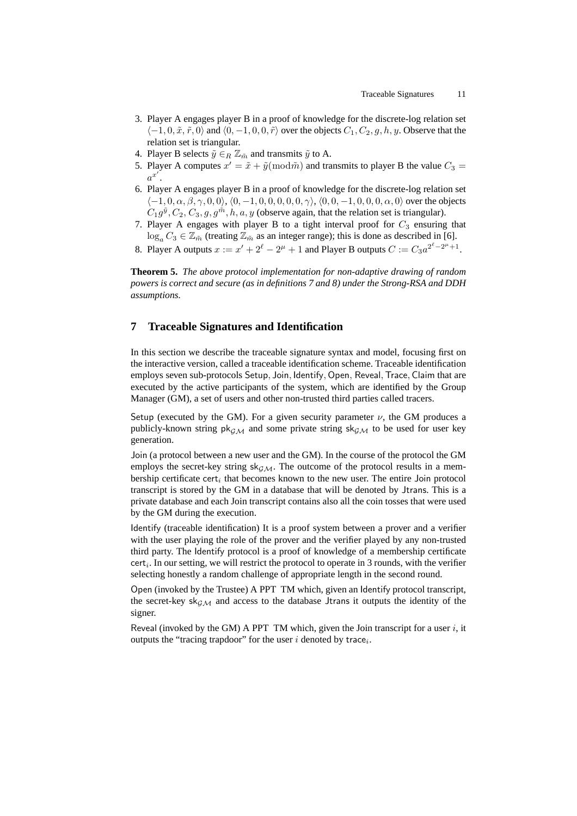- 3. Player A engages player B in a proof of knowledge for the discrete-log relation set  $\langle -1, 0, \tilde{x}, \tilde{r}, 0 \rangle$  and  $\langle 0, -1, 0, 0, \tilde{r} \rangle$  over the objects  $C_1, C_2, g, h, y$ . Observe that the relation set is triangular.
- 4. Player B selects  $\tilde{y} \in_R \mathbb{Z}_{m}$  and transmits  $\tilde{y}$  to A.
- 5. Player A computes  $x' = \tilde{x} + \tilde{y}(\text{mod}\tilde{m})$  and transmits to player B the value  $C_3$  =  $a^{x'}$ .
- 6. Player A engages player B in a proof of knowledge for the discrete-log relation set  $\langle -1, 0, \alpha, \beta, \gamma, 0, 0 \rangle$ ,  $\langle 0, -1, 0, 0, 0, 0, 0, \gamma \rangle$ ,  $\langle 0, 0, -1, 0, 0, 0, \alpha, 0 \rangle$  over the objects  $C_1 g^{\tilde{y}}$ ,  $C_2$ ,  $C_3$ ,  $g$ ,  $g^{\tilde{m}}$ ,  $h$ ,  $a$ ,  $y$  (observe again, that the relation set is triangular).
- 7. Player A engages with player B to a tight interval proof for  $C_3$  ensuring that  $\log_a C_3 \in \mathbb{Z}_{\tilde{m}}$  (treating  $\mathbb{Z}_{\tilde{m}}$  as an integer range); this is done as described in [6].
- 8. Player A outputs  $x := x' + 2^{\ell} 2^{\mu} + 1$  and Player B outputs  $C := C_3 a^{2^{\ell} 2^{\mu} + 1}$ .

**Theorem 5.** *The above protocol implementation for non-adaptive drawing of random powers is correct and secure (as in definitions 7 and 8) under the Strong-RSA and DDH assumptions.*

# **7 Traceable Signatures and Identification**

In this section we describe the traceable signature syntax and model, focusing first on the interactive version, called a traceable identification scheme. Traceable identification employs seven sub-protocols Setup, Join, Identify, Open, Reveal,Trace, Claim that are executed by the active participants of the system, which are identified by the Group Manager (GM), a set of users and other non-trusted third parties called tracers.

Setup (executed by the GM). For a given security parameter  $\nu$ , the GM produces a publicly-known string  $pk_{GM}$  and some private string sk<sub>GM</sub> to be used for user key generation.

Join (a protocol between a new user and the GM). In the course of the protocol the GM employs the secret-key string  $\text{sk}_{GM}$ . The outcome of the protocol results in a membership certificate cert<sub>i</sub> that becomes known to the new user. The entire Join protocol transcript is stored by the GM in a database that will be denoted by Jtrans. This is a private database and each Join transcript contains also all the coin tosses that were used by the GM during the execution.

Identify (traceable identification) It is a proof system between a prover and a verifier with the user playing the role of the prover and the verifier played by any non-trusted third party. The Identify protocol is a proof of knowledge of a membership certificate  $cert_i$ . In our setting, we will restrict the protocol to operate in 3 rounds, with the verifier selecting honestly a random challenge of appropriate length in the second round.

Open (invoked by the Trustee) A PPT TM which, given an Identify protocol transcript, the secret-key sk $_{\mathcal{G}\mathcal{M}}$  and access to the database Jtrans it outputs the identity of the signer.

Reveal (invoked by the GM) A PPT TM which, given the Join transcript for a user  $i$ , it outputs the "tracing trapdoor" for the user  $i$  denoted by trace<sub>i</sub>.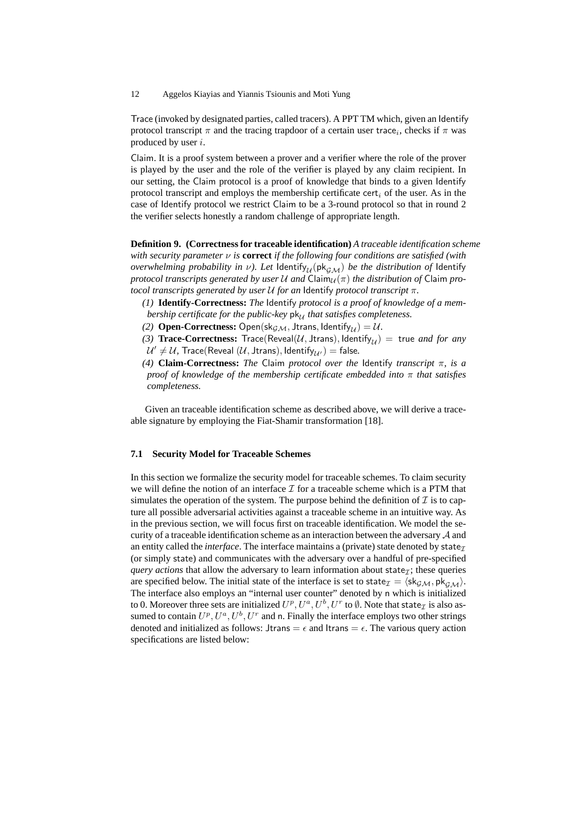Trace (invoked by designated parties, called tracers). A PPT TM which, given an Identify protocol transcript  $\pi$  and the tracing trapdoor of a certain user trace<sub>i</sub>, checks if  $\pi$  was produced by user i.

Claim. It is a proof system between a prover and a verifier where the role of the prover is played by the user and the role of the verifier is played by any claim recipient. In our setting, the Claim protocol is a proof of knowledge that binds to a given Identify protocol transcript and employs the membership certificate cert, of the user. As in the case of Identify protocol we restrict Claim to be a 3-round protocol so that in round 2 the verifier selects honestly a random challenge of appropriate length.

**Definition 9. (Correctness for traceable identification)** *A traceable identification scheme with security parameter* ν *is* **correct** *if the following four conditions are satisfied (with overwhelming probability in*  $\nu$ *). Let* Identify<sub>U</sub>( $\mathsf{pk}_{GM}$ ) *be the distribution of* Identify *protocol transcripts generated by user*  $U$  *and*  $Claim_{U}(\pi)$  *the distribution of* Claim *protocol transcripts generated by user* U *for an* Identify *protocol transcript* π*.*

*(1)* **Identify-Correctness:** *The* Identify *protocol is a proof of knowledge of a membership certificate for the public-key*  $pk_{11}$  *that satisfies completeness.* 

- *(2)* **Open-Correctness:** Open(skg<sub>M</sub>, Jtrans, Identify<sub>U</sub>) = U.
- *(3)* **Trace-Correctness:** Trace(Reveal(U, Jtrans), Identify<sub>11</sub>) = true *and for any*  $\mathcal{U}'\neq\mathcal{U}$ , Trace(Reveal  $(\mathcal{U},\mathsf{Jtrans})$ , Identify $_{\mathcal{U}'})=$  false.
- *(4)* **Claim-Correctness:** *The* Claim *protocol over the* Identify *transcript* π*, is a proof of knowledge of the membership certificate embedded into* π *that satisfies completeness.*

Given an traceable identification scheme as described above, we will derive a traceable signature by employing the Fiat-Shamir transformation [18].

### **7.1 Security Model for Traceable Schemes**

In this section we formalize the security model for traceable schemes. To claim security we will define the notion of an interface  $\mathcal I$  for a traceable scheme which is a PTM that simulates the operation of the system. The purpose behind the definition of  $\mathcal I$  is to capture all possible adversarial activities against a traceable scheme in an intuitive way. As in the previous section, we will focus first on traceable identification. We model the security of a traceable identification scheme as an interaction between the adversary  $A$  and an entity called the *interface*. The interface maintains a (private) state denoted by state $\tau$ (or simply state) and communicates with the adversary over a handful of pre-specified *query actions* that allow the adversary to learn information about state $\tau$ ; these queries are specified below. The initial state of the interface is set to state  $I = \langle \text{sk}_{GM}, \text{pk}_{GM} \rangle$ . The interface also employs an "internal user counter" denoted by n which is initialized to 0. Moreover three sets are initialized  $U^p, U^a, U^b, U^r$  to  $\emptyset$ . Note that state $\tau$  is also assumed to contain  $U^p, U^a, U^b, U^r$  and n. Finally the interface employs two other strings denoted and initialized as follows: Jtrans =  $\epsilon$  and Itrans =  $\epsilon$ . The various query action specifications are listed below: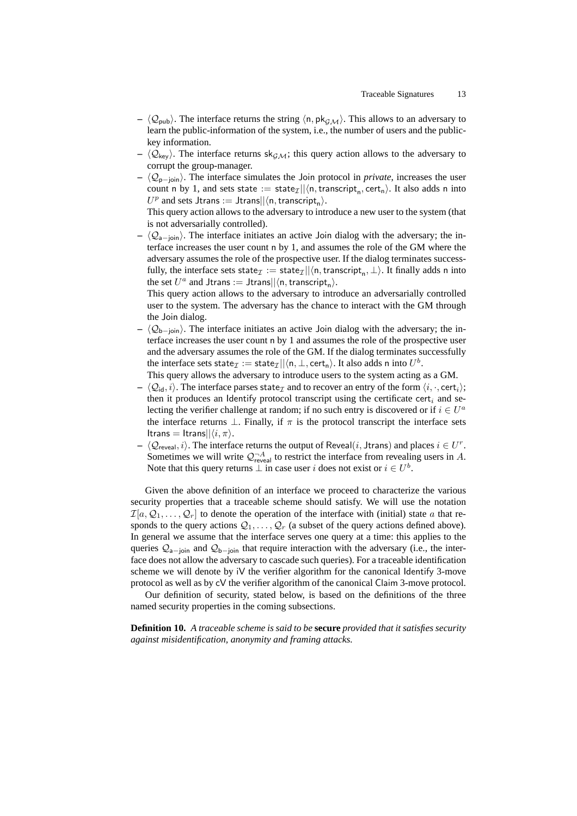- $\langle \mathcal{Q}_{\text{pub}} \rangle$ . The interface returns the string  $\langle n, \text{pk}_{\mathcal{GM}} \rangle$ . This allows to an adversary to learn the public-information of the system, i.e., the number of users and the publickey information.
- $\langle \mathcal{Q}_{\text{key}} \rangle$ . The interface returns sk<sub>GM</sub>; this query action allows to the adversary to corrupt the group-manager.
- **–** hQp−joini. The interface simulates the Join protocol in *private*, increases the user count n by 1, and sets state  $:=$  state $_{\mathcal{I}} || \langle$ n, transcript $_{\mathsf{n}},$  cert $_{\mathsf{n}} \rangle$ . It also adds n into  $U^p$  and sets Jtrans := Jtrans|| $\langle n,$ transcript<sub>n</sub> $\rangle$ .

This query action allows to the adversary to introduce a new user to the system (that is not adversarially controlled).

**–**  $\langle \mathcal{Q}_{a-poin} \rangle$ . The interface initiates an active Join dialog with the adversary; the interface increases the user count n by 1, and assumes the role of the GM where the adversary assumes the role of the prospective user. If the dialog terminates successfully, the interface sets state $_\mathcal{I}:=$  state $_\mathcal{I}$ || $\langle$ n, transcript $_{\sf n},\bot\rangle.$  It finally adds n into the set  $U^a$  and Jtrans := Jtrans $||\langle n, \text{transcript}_n \rangle$ .

This query action allows to the adversary to introduce an adversarially controlled user to the system. The adversary has the chance to interact with the GM through the Join dialog.

- $\langle \mathcal{Q}_{b{-}ioin} \rangle$ . The interface initiates an active Join dialog with the adversary; the interface increases the user count n by 1 and assumes the role of the prospective user and the adversary assumes the role of the GM. If the dialog terminates successfully the interface sets state $\tau := \textsf{state}_{\mathcal{I}} || \langle \mathsf{n}, \bot, \textsf{cert}_{\mathsf{n}} \rangle$ . It also adds n into  $U^b$ .
- This query allows the adversary to introduce users to the system acting as a GM.
- $-\langle Q_{id}, i \rangle$ . The interface parses state<sub> $\tau$ </sub> and to recover an entry of the form  $\langle i, \cdot, \text{cert}_i \rangle$ ; then it produces an Identify protocol transcript using the certificate cert<sub>i</sub> and selecting the verifier challenge at random; if no such entry is discovered or if  $i \in U^a$ the interface returns  $\perp$ . Finally, if  $\pi$  is the protocol transcript the interface sets Itrans = Itrans $||\langle i, \pi \rangle$ .
- $\sim \langle \mathcal{Q}_{\text{reveal}} , i \rangle$ . The interface returns the output of Reveal(*i*, Jtrans) and places  $i \in U^r$ . Sometimes we will write  $Q_{\text{reveal}}^{-A}$  to restrict the interface from revealing users in A. Note that this query returns  $\perp$  in case user i does not exist or  $i \in U^b$ .

Given the above definition of an interface we proceed to characterize the various security properties that a traceable scheme should satisfy. We will use the notation  $\mathcal{I}[a, Q_1, \ldots, Q_r]$  to denote the operation of the interface with (initial) state a that responds to the query actions  $Q_1, \ldots, Q_r$  (a subset of the query actions defined above). In general we assume that the interface serves one query at a time: this applies to the queries  $\mathcal{Q}_{a-ioin}$  and  $\mathcal{Q}_{b-ioin}$  that require interaction with the adversary (i.e., the interface does not allow the adversary to cascade such queries). For a traceable identification scheme we will denote by  $\mathcal{W}$  the verifier algorithm for the canonical Identify 3-move protocol as well as by cV the verifier algorithm of the canonical Claim 3-move protocol.

Our definition of security, stated below, is based on the definitions of the three named security properties in the coming subsections.

**Definition 10.** *A traceable scheme is said to be* **secure** *provided that it satisfies security against misidentification, anonymity and framing attacks.*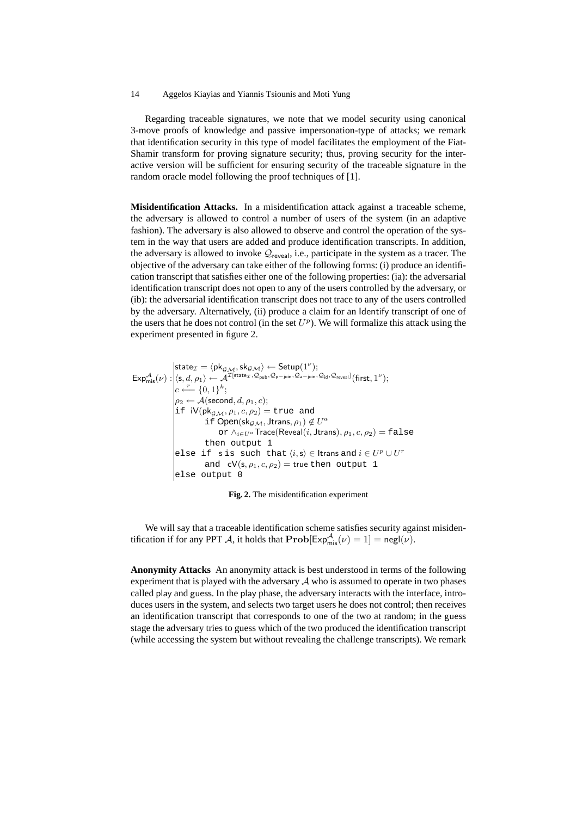Regarding traceable signatures, we note that we model security using canonical 3-move proofs of knowledge and passive impersonation-type of attacks; we remark that identification security in this type of model facilitates the employment of the Fiat-Shamir transform for proving signature security; thus, proving security for the interactive version will be sufficient for ensuring security of the traceable signature in the random oracle model following the proof techniques of [1].

**Misidentification Attacks.** In a misidentification attack against a traceable scheme, the adversary is allowed to control a number of users of the system (in an adaptive fashion). The adversary is also allowed to observe and control the operation of the system in the way that users are added and produce identification transcripts. In addition, the adversary is allowed to invoke  $\mathcal{Q}_{\text{reveal}}$ , i.e., participate in the system as a tracer. The objective of the adversary can take either of the following forms: (i) produce an identification transcript that satisfies either one of the following properties: (ia): the adversarial identification transcript does not open to any of the users controlled by the adversary, or (ib): the adversarial identification transcript does not trace to any of the users controlled by the adversary. Alternatively, (ii) produce a claim for an Identify transcript of one of the users that he does not control (in the set  $U^p$ ). We will formalize this attack using the experiment presented in figure 2.

$$
\begin{array}{ll} \mathsf{Exp}^{\mathcal{A}}_{\mathsf{mis}}(\nu) : & \left\langle \mathsf{s}, d, \rho_1 \right\rangle \leftarrow \mathsf{Setup}(1^{\nu}); \\ & \left\langle \mathsf{s}, d, \rho_1 \right\rangle \leftarrow \mathcal{A}^{\mathcal{I}[\text{state}_{\mathcal{I}}, \mathcal{Q}_{\mathsf{pub}}, \mathcal{Q}_{\mathsf{p}-\mathsf{join}}, \mathcal{Q}_{\mathsf{a}-\mathsf{join}}, \mathcal{Q}_{\mathsf{id}}, \mathcal{Q}_{\mathsf{reveal}} \right]}(\textsf{first}, 1^{\nu}); \\ & c \xleftarrow{\mathsf{r}} \{0, 1\}^{k}; \\ & \rho_2 \leftarrow \mathcal{A}(\textsf{second}, d, \rho_1, c); \\ & \text{if} \quad \mathsf{iV}(\mathsf{pk}_{\mathcal{G}\mathcal{M}}, \rho_1, c, \rho_2) = \textsf{true} \quad \text{and} \\ & \quad \text{if} \quad \mathsf{Open}(\mathsf{sk}_{\mathcal{G}\mathcal{M}}, \textsf{trans}, \rho_1) \not\in U^a \\ & \quad \text{or} \quad \wedge_{i \in U^a} \mathsf{Trace}(\textsf{Reveal}(i, \textsf{Jtrans}), \rho_1, c, \rho_2) = \textsf{false} \\ & \quad \text{then} \quad \text{output} \quad 1 \\ & \text{else} \quad \text{if} \quad \mathsf{s} \text{ is such that } \langle i, \mathsf{s} \rangle \in \textsf{ltrans} \text{ and } i \in U^p \cup U^r \\ & \quad \text{and} \quad \mathsf{cV}(\mathsf{s}, \rho_1, c, \rho_2) = \textsf{true} \text{ then} \quad \text{output} \quad 1 \\ & \text{else} \quad \text{output} \quad 0 \end{array}
$$

**Fig. 2.** The misidentification experiment

We will say that a traceable identification scheme satisfies security against misidentification if for any PPT A, it holds that  $\text{Prob}[\text{Exp}_{\text{mis}}^{\mathcal{A}}(\nu) = 1] = \text{negl}(\nu)$ .

**Anonymity Attacks** An anonymity attack is best understood in terms of the following experiment that is played with the adversary  $\mathcal A$  who is assumed to operate in two phases called play and guess. In the play phase, the adversary interacts with the interface, introduces users in the system, and selects two target users he does not control; then receives an identification transcript that corresponds to one of the two at random; in the guess stage the adversary tries to guess which of the two produced the identification transcript (while accessing the system but without revealing the challenge transcripts). We remark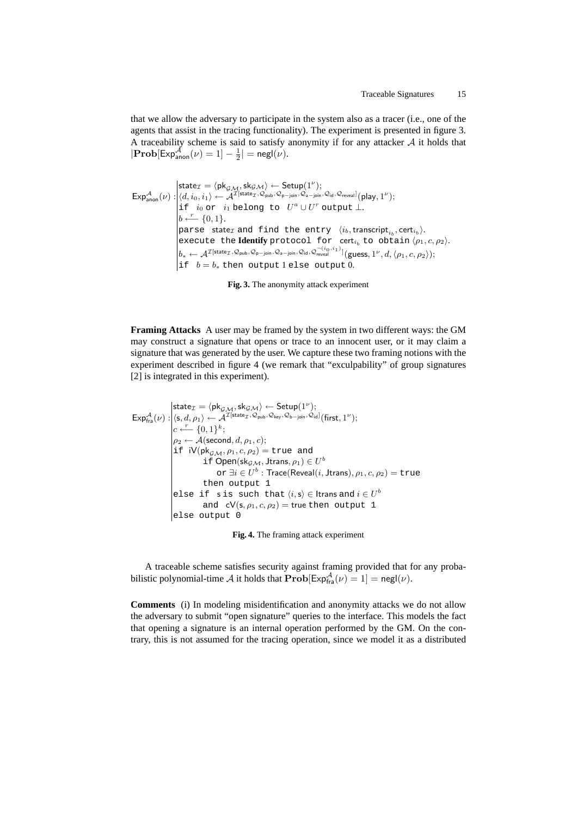that we allow the adversary to participate in the system also as a tracer (i.e., one of the agents that assist in the tracing functionality). The experiment is presented in figure 3. A traceability scheme is said to satisfy anonymity if for any attacker  $A$  it holds that  $|\mathbf{Prob}[\mathsf{Exp}^{\mathcal{A}}_{\mathsf{anon}}(\nu) = 1] - \frac{1}{2}| = \mathsf{negl}(\nu).$ 

$$
\begin{array}{ll}\text{State}_{\mathcal{I}}=\langle \text{pk}_{\mathcal{G},\mathcal{M}}, \text{sk}_{\mathcal{G},\mathcal{M}} \rangle \leftarrow \text{Setup}(1^{\nu}); \\ \text{Exp}_{\text{anon}}^{A}(\nu): \left\langle d, i_{0}, i_{1} \right\rangle \leftarrow \mathcal{A}^{\mathcal{I}[\text{state}_{\mathcal{I}}, \mathcal{Q}_{\text{pub}}, \mathcal{Q}_{\text{p}-\text{join}}, \mathcal{Q}_{\text{id}}, \mathcal{Q}_{\text{revall}}]}(\text{play}, 1^{\nu}); \\ \text{if} \quad i_{0} \text{ or } i_{1} \text{ belong to } U^{a} \cup U^{r} \text{ output }\bot. \\ b \leftarrow \{0,1\}. \\ \text{parse state}_{\mathcal{I}} \text{ and find the entry } \langle i_{b}, \text{transcript}_{i_{b}}, \text{cert}_{i_{b}} \rangle. \\ \text{execute the Identity protocol for cert}_{i_{b}} \text{ to obtain } \langle \rho_{1}, c, \rho_{2} \rangle. \\ b_{*} \leftarrow \mathcal{A}^{\mathcal{I}[\text{state}_{\mathcal{I}}, \mathcal{Q}_{\text{pub}}, \mathcal{Q}_{\text{p}-\text{join}}, \mathcal{Q}_{\text{a}-\text{join}}, \mathcal{Q}_{\text{id}}, \mathcal{Q}_{\text{reved}}^{-(i_{0}, i_{1})}]}(\text{guess}, 1^{\nu}, d, \langle \rho_{1}, c, \rho_{2} \rangle); \\ \text{if} \quad b=b_{*} \text{ then output } l \text{ else output } 0.\end{array}
$$

**Fig. 3.** The anonymity attack experiment

**Framing Attacks** A user may be framed by the system in two different ways: the GM may construct a signature that opens or trace to an innocent user, or it may claim a signature that was generated by the user. We capture these two framing notions with the experiment described in figure 4 (we remark that "exculpability" of group signatures [2] is integrated in this experiment).

| \n $\begin{aligned}\n &\text{state}_{\mathcal{I}} = \langle \mathsf{pk}_{\mathcal{G}\mathcal{M}}, \mathsf{sk}_{\mathcal{G}\mathcal{M}} \rangle \leftarrow \text{Setup}(1^{\nu}); \\  &\langle \mathsf{s}, d, \rho_1 \rangle \leftarrow \mathcal{A}^{\mathcal{I}[\text{state}_{\mathcal{I}}, \mathcal{Q}_{\text{pub}}, \mathcal{Q}_{\text{key}}, \mathcal{Q}_{\text{b}-\text{join}}, \mathcal{Q}_{\text{id}}]}(\text{first}, 1^{\nu}); \\  &\quad c \leftarrow \{0, 1\}^{k}; \\  &\rho_2 \leftarrow \mathcal{A}(\text{second}, d, \rho_1, c); \\  &\text{if } \text{IV}(\mathsf{pk}_{\mathcal{G}\mathcal{M}}, \rho_1, c, \rho_2) = \text{true} \text{ and} \\  &\quad \text{if } \text{Open}(\text{sk}_{\mathcal{G}\mathcal{M}}, \text{Jtrans}, \rho_1) \in U^b \\  &\quad \text{or } \exists i \in U^b : \text{Trace}(\text{Reval}(i, \text{Jtrans}), \rho_1, c, \rho_2) = \text{true} \\  &\quad \text{then } \text{output } 1 \\  &\quad \text{else if } \text{si } \text{si such that } \langle i, \text{s} \rangle \in \text{Itrans} \text{ and } i \in U^b \\  &\quad \text{and } \text{cV}(\text{s}, \rho_1, c, \rho_2) = \text{true} \text{ then } \text{output } 1 \\  &\quad \text{else } \text{output } 0\n \end{aligned}$ \n |
|-----------------------------------------------------------------------------------------------------------------------------------------------------------------------------------------------------------------------------------------------------------------------------------------------------------------------------------------------------------------------------------------------------------------------------------------------------------------------------------------------------------------------------------------------------------------------------------------------------------------------------------------------------------------------------------------------------------------------------------------------------------------------------------------------------------------------------------------------------------------------------------------------------------------------------------------------------------------------------------------------------------------------------------------------------------------------------------------------------------------------------------------------------------------------------------------------------------------------------------------|
|-----------------------------------------------------------------------------------------------------------------------------------------------------------------------------------------------------------------------------------------------------------------------------------------------------------------------------------------------------------------------------------------------------------------------------------------------------------------------------------------------------------------------------------------------------------------------------------------------------------------------------------------------------------------------------------------------------------------------------------------------------------------------------------------------------------------------------------------------------------------------------------------------------------------------------------------------------------------------------------------------------------------------------------------------------------------------------------------------------------------------------------------------------------------------------------------------------------------------------------------|

**Fig. 4.** The framing attack experiment

A traceable scheme satisfies security against framing provided that for any probabilistic polynomial-time A it holds that  $\mathbf{Prob}[\mathsf{Exp}_{\mathsf{fra}}^{\mathcal{A}}(\nu) = 1] = \mathsf{negl}(\nu)$ .

**Comments** (i) In modeling misidentification and anonymity attacks we do not allow the adversary to submit "open signature" queries to the interface. This models the fact that opening a signature is an internal operation performed by the GM. On the contrary, this is not assumed for the tracing operation, since we model it as a distributed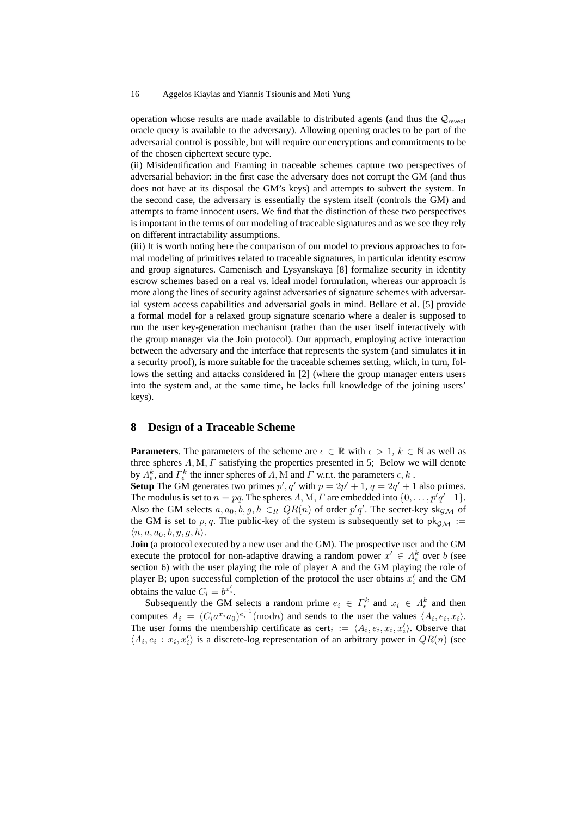operation whose results are made available to distributed agents (and thus the  $Q_{\text{reval}}$ ) oracle query is available to the adversary). Allowing opening oracles to be part of the adversarial control is possible, but will require our encryptions and commitments to be of the chosen ciphertext secure type.

(ii) Misidentification and Framing in traceable schemes capture two perspectives of adversarial behavior: in the first case the adversary does not corrupt the GM (and thus does not have at its disposal the GM's keys) and attempts to subvert the system. In the second case, the adversary is essentially the system itself (controls the GM) and attempts to frame innocent users. We find that the distinction of these two perspectives is important in the terms of our modeling of traceable signatures and as we see they rely on different intractability assumptions.

(iii) It is worth noting here the comparison of our model to previous approaches to formal modeling of primitives related to traceable signatures, in particular identity escrow and group signatures. Camenisch and Lysyanskaya [8] formalize security in identity escrow schemes based on a real vs. ideal model formulation, whereas our approach is more along the lines of security against adversaries of signature schemes with adversarial system access capabilities and adversarial goals in mind. Bellare et al. [5] provide a formal model for a relaxed group signature scenario where a dealer is supposed to run the user key-generation mechanism (rather than the user itself interactively with the group manager via the Join protocol). Our approach, employing active interaction between the adversary and the interface that represents the system (and simulates it in a security proof), is more suitable for the traceable schemes setting, which, in turn, follows the setting and attacks considered in [2] (where the group manager enters users into the system and, at the same time, he lacks full knowledge of the joining users' keys).

## **8 Design of a Traceable Scheme**

**Parameters**. The parameters of the scheme are  $\epsilon \in \mathbb{R}$  with  $\epsilon > 1$ ,  $k \in \mathbb{N}$  as well as three spheres  $\Lambda$ , M,  $\Gamma$  satisfying the properties presented in 5; Below we will denote by  $\Lambda_{\epsilon}^{k}$ , and  $\Gamma_{\epsilon}^{k}$  the inner spheres of  $\Lambda$ , M and  $\Gamma$  w.r.t. the parameters  $\epsilon, k$ .

**Setup** The GM generates two primes  $p', q'$  with  $p = 2p' + 1$ ,  $q = 2q' + 1$  also primes. The modulus is set to  $n = pq$ . The spheres  $\Lambda, M, \Gamma$  are embedded into  $\{0, \ldots, p'q'-1\}$ . Also the GM selects  $a, a_0, b, g, h \in_R QR(n)$  of order  $p'q'$ . The secret-key sk $g_M$  of the GM is set to p, q. The public-key of the system is subsequently set to  $pk_{GM}$  :=  $\langle n, a, a_0, b, y, g, h \rangle$ .

**Join** (a protocol executed by a new user and the GM). The prospective user and the GM execute the protocol for non-adaptive drawing a random power  $x' \in \Lambda_{\epsilon}^{k}$  over b (see section 6) with the user playing the role of player A and the GM playing the role of player B; upon successful completion of the protocol the user obtains  $x_i'$  and the GM obtains the value  $C_i = b^{x_i}$ .

Subsequently the GM selects a random prime  $e_i \in \Gamma_{\epsilon}^k$  and  $x_i \in \Lambda_{\epsilon}^k$  and then computes  $A_i = (C_i a^{x_i} a_0)^{e_i^{-1}} \pmod{n}$  and sends to the user the values  $\langle A_i, e_i, x_i \rangle$ . The user forms the membership certificate as cert<sub>i</sub> :=  $\langle A_i, e_i, x_i, x_i' \rangle$ . Observe that  $\langle A_i, e_i : x_i, x'_i \rangle$  is a discrete-log representation of an arbitrary power in  $QR(n)$  (see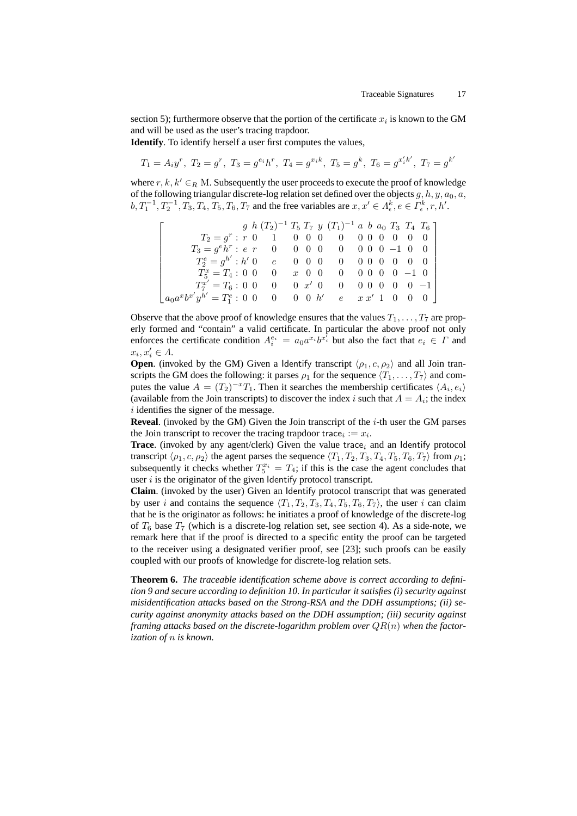section 5); furthermore observe that the portion of the certificate  $x_i$  is known to the GM and will be used as the user's tracing trapdoor.

**Identify**. To identify herself a user first computes the values,

$$
T_1 = A_i y^r
$$
,  $T_2 = g^r$ ,  $T_3 = g^{e_i} h^r$ ,  $T_4 = g^{x_i} k$ ,  $T_5 = g^k$ ,  $T_6 = g^{x'_i} k'$ ,  $T_7 = g^{k'}$ 

where  $r, k, k' \in_R M$ . Subsequently the user proceeds to execute the proof of knowledge of the following triangular discrete-log relation set defined over the objects  $g, h, y, a_0, a$ ,  $b, T_1^{-1}, T_2^{-1}, T_3, T_4, T_5, T_6, T_7$  and the free variables are  $x, x' \in \Lambda_{\epsilon}^k, e \in \Gamma_{\epsilon}^k, r, h'.$ 

$$
\begin{bmatrix}\ng & h & (T_2)^{-1} & T_5 & T_7 & y & (T_1)^{-1} & a & b & a_0 & T_3 & T_4 & T_6 \\
T_2 = g^r & r & 0 & 1 & 0 & 0 & 0 & 0 & 0 & 0 & 0 & 0 & 0 \\
T_3 = g^e h^r & r & r & 0 & 0 & 0 & 0 & 0 & 0 & 0 & -1 & 0 & 0 \\
T_2^e = g^{h'} & h' & 0 & e & 0 & 0 & 0 & 0 & 0 & 0 & 0 & 0 & 0 \\
T_3^x = T_4 & r & 0 & 0 & 0 & 0 & 0 & 0 & 0 & 0 & 0 & 0 \\
T_4^x = T_4 & r & r & 0 & 0 & 0 & 0 & 0 & 0 & 0 & 0 & 0 & 0 \\
T_5^x = T_5 & r & r & r & r & 0 & 0 & 0 & 0 & 0 & 0 & 0 & 0 & 0 \\
a_0 a^x b^x y^h = T_1^e & r & r & r & r & r & 0 & 0 & 0 & 0 & 0 & 0\n\end{bmatrix}
$$

Observe that the above proof of knowledge ensures that the values  $T_1, \ldots, T_7$  are properly formed and "contain" a valid certificate. In particular the above proof not only enforces the certificate condition  $A_i^{e_i} = a_0 a^{x_i} b^{x_i}$  but also the fact that  $e_i \in \Gamma$  and  $x_i, x'_i \in A.$ 

**Open**. (invoked by the GM) Given a Identify transcript  $\langle \rho_1, c, \rho_2 \rangle$  and all Join transcripts the GM does the following: it parses  $\rho_1$  for the sequence  $\langle T_1, \ldots, T_7 \rangle$  and computes the value  $A = (T_2)^{-x}T_1$ . Then it searches the membership certificates  $\langle A_i, e_i \rangle$ (available from the Join transcripts) to discover the index i such that  $A = A_i$ ; the index  $i$  identifies the signer of the message.

**Reveal.** (invoked by the GM) Given the Join transcript of the  $i$ -th user the GM parses the Join transcript to recover the tracing trapdoor trace<sub>i</sub> :=  $x_i$ .

**Trace.** (invoked by any agent/clerk) Given the value trace<sub>i</sub> and an Identify protocol transcript  $\langle \rho_1, c, \rho_2 \rangle$  the agent parses the sequence  $\langle T_1, T_2, T_3, T_4, T_5, T_6, T_7 \rangle$  from  $\rho_1$ ; subsequently it checks whether  $T_5^{x_i} = T_4$ ; if this is the case the agent concludes that user  $i$  is the originator of the given Identify protocol transcript.

**Claim**. (invoked by the user) Given an Identify protocol transcript that was generated by user i and contains the sequence  $\langle T_1, T_2, T_3, T_4, T_5, T_6, T_7 \rangle$ , the user i can claim that he is the originator as follows: he initiates a proof of knowledge of the discrete-log of  $T_6$  base  $T_7$  (which is a discrete-log relation set, see section 4). As a side-note, we remark here that if the proof is directed to a specific entity the proof can be targeted to the receiver using a designated verifier proof, see [23]; such proofs can be easily coupled with our proofs of knowledge for discrete-log relation sets.

**Theorem 6.** *The traceable identification scheme above is correct according to definition 9 and secure according to definition 10. In particular it satisfies (i) security against misidentification attacks based on the Strong-RSA and the DDH assumptions; (ii) security against anonymity attacks based on the DDH assumption; (iii) security against framing attacks based on the discrete-logarithm problem over*  $QR(n)$  when the factor*ization of* n *is known.*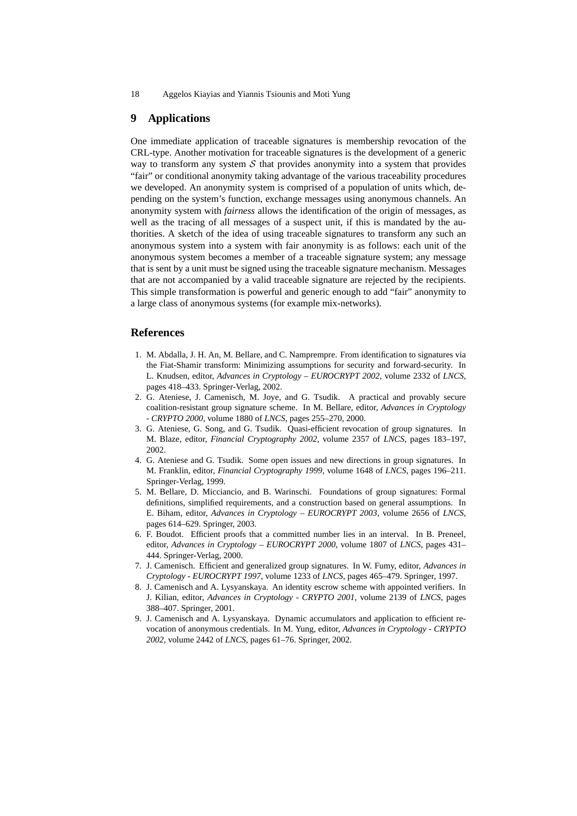# **9 Applications**

One immediate application of traceable signatures is membership revocation of the CRL-type. Another motivation for traceable signatures is the development of a generic way to transform any system  $S$  that provides anonymity into a system that provides "fair" or conditional anonymity taking advantage of the various traceability procedures we developed. An anonymity system is comprised of a population of units which, depending on the system's function, exchange messages using anonymous channels. An anonymity system with *fairness* allows the identification of the origin of messages, as well as the tracing of all messages of a suspect unit, if this is mandated by the authorities. A sketch of the idea of using traceable signatures to transform any such an anonymous system into a system with fair anonymity is as follows: each unit of the anonymous system becomes a member of a traceable signature system; any message that is sent by a unit must be signed using the traceable signature mechanism. Messages that are not accompanied by a valid traceable signature are rejected by the recipients. This simple transformation is powerful and generic enough to add "fair" anonymity to a large class of anonymous systems (for example mix-networks).

## **References**

- 1. M. Abdalla, J. H. An, M. Bellare, and C. Namprempre. From identification to signatures via the Fiat-Shamir transform: Minimizing assumptions for security and forward-security. In L. Knudsen, editor, *Advances in Cryptology – EUROCRYPT 2002*, volume 2332 of *LNCS*, pages 418–433. Springer-Verlag, 2002.
- 2. G. Ateniese, J. Camenisch, M. Joye, and G. Tsudik. A practical and provably secure coalition-resistant group signature scheme. In M. Bellare, editor, *Advances in Cryptology - CRYPTO 2000*, volume 1880 of *LNCS*, pages 255–270, 2000.
- 3. G. Ateniese, G. Song, and G. Tsudik. Quasi-efficient revocation of group signatures. In M. Blaze, editor, *Financial Cryptography 2002*, volume 2357 of *LNCS*, pages 183–197, 2002.
- 4. G. Ateniese and G. Tsudik. Some open issues and new directions in group signatures. In M. Franklin, editor, *Financial Cryptography 1999*, volume 1648 of *LNCS*, pages 196–211. Springer-Verlag, 1999.
- 5. M. Bellare, D. Micciancio, and B. Warinschi. Foundations of group signatures: Formal definitions, simplified requirements, and a construction based on general assumptions. In E. Biham, editor, *Advances in Cryptology – EUROCRYPT 2003*, volume 2656 of *LNCS*, pages 614–629. Springer, 2003.
- 6. F. Boudot. Efficient proofs that a committed number lies in an interval. In B. Preneel, editor, *Advances in Cryptology – EUROCRYPT 2000*, volume 1807 of *LNCS*, pages 431– 444. Springer-Verlag, 2000.
- 7. J. Camenisch. Efficient and generalized group signatures. In W. Fumy, editor, *Advances in Cryptology - EUROCRYPT 1997*, volume 1233 of *LNCS*, pages 465–479. Springer, 1997.
- 8. J. Camenisch and A. Lysyanskaya. An identity escrow scheme with appointed verifiers. In J. Kilian, editor, *Advances in Cryptology - CRYPTO 2001*, volume 2139 of *LNCS*, pages 388–407. Springer, 2001.
- 9. J. Camenisch and A. Lysyanskaya. Dynamic accumulators and application to efficient revocation of anonymous credentials. In M. Yung, editor, *Advances in Cryptology - CRYPTO 2002*, volume 2442 of *LNCS*, pages 61–76. Springer, 2002.

<sup>18</sup> Aggelos Kiayias and Yiannis Tsiounis and Moti Yung